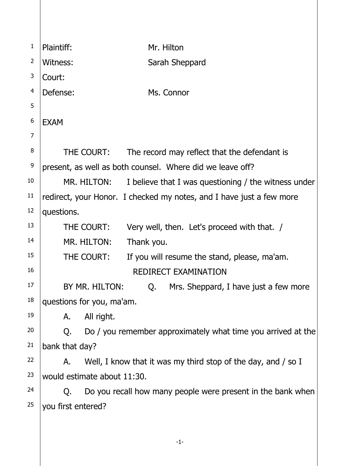| $\mathbf{1}$   | Plaintiff:<br>Mr. Hilton                                              |  |  |
|----------------|-----------------------------------------------------------------------|--|--|
| $\overline{2}$ | Witness:<br>Sarah Sheppard                                            |  |  |
| 3              | Court:                                                                |  |  |
| 4              | Defense:<br>Ms. Connor                                                |  |  |
| 5              |                                                                       |  |  |
| 6              | <b>EXAM</b>                                                           |  |  |
| $\overline{7}$ |                                                                       |  |  |
| 8              | The record may reflect that the defendant is<br>THE COURT:            |  |  |
| 9              | present, as well as both counsel. Where did we leave off?             |  |  |
| 10             | MR. HILTON:<br>I believe that I was questioning / the witness under   |  |  |
| 11             | redirect, your Honor. I checked my notes, and I have just a few more  |  |  |
| 12             | questions.                                                            |  |  |
| 13             | THE COURT:<br>Very well, then. Let's proceed with that. /             |  |  |
| 14             | MR. HILTON:<br>Thank you.                                             |  |  |
| 15             | THE COURT:<br>If you will resume the stand, please, ma'am.            |  |  |
| 16             | <b>REDIRECT EXAMINATION</b>                                           |  |  |
| 17             | BY MR. HILTON:<br>Mrs. Sheppard, I have just a few more<br>Q.         |  |  |
| 18             | questions for you, ma'am.                                             |  |  |
| 19             | All right.<br>Α.                                                      |  |  |
| 20             | Q.<br>Do / you remember approximately what time you arrived at the    |  |  |
| 21             | bank that day?                                                        |  |  |
| 22             | Well, I know that it was my third stop of the day, and $/$ so I<br>А. |  |  |
| 23             | would estimate about 11:30.                                           |  |  |
| 24             | Do you recall how many people were present in the bank when<br>Q.     |  |  |
| 25             | you first entered?                                                    |  |  |
|                |                                                                       |  |  |
|                |                                                                       |  |  |

-1-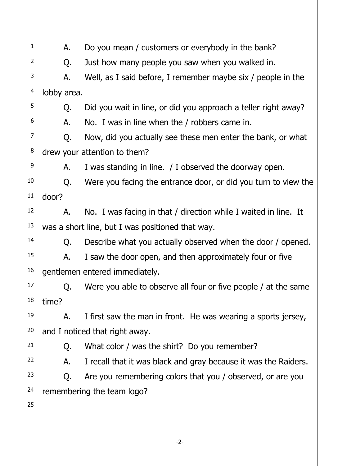| $\mathbf{1}$   | А.                                               | Do you mean / customers or everybody in the bank?               |  |  |  |
|----------------|--------------------------------------------------|-----------------------------------------------------------------|--|--|--|
| $\overline{2}$ | Q.                                               | Just how many people you saw when you walked in.                |  |  |  |
| 3              | А.                                               | Well, as I said before, I remember maybe six / people in the    |  |  |  |
| 4              | lobby area.                                      |                                                                 |  |  |  |
| 5              | Q.                                               | Did you wait in line, or did you approach a teller right away?  |  |  |  |
| 6              | Α.                                               | No. I was in line when the / robbers came in.                   |  |  |  |
| 7              | Q.                                               | Now, did you actually see these men enter the bank, or what     |  |  |  |
| 8              |                                                  | drew your attention to them?                                    |  |  |  |
| 9              | А.                                               | I was standing in line. / I observed the doorway open.          |  |  |  |
| 10             | Q.                                               | Were you facing the entrance door, or did you turn to view the  |  |  |  |
| 11             | door?                                            |                                                                 |  |  |  |
| 12             | А.                                               | No. I was facing in that / direction while I waited in line. It |  |  |  |
| 13             | was a short line, but I was positioned that way. |                                                                 |  |  |  |
| 14             | Q.                                               | Describe what you actually observed when the door / opened.     |  |  |  |
| 15             | А.                                               | I saw the door open, and then approximately four or five        |  |  |  |
| 16             | gentlemen entered immediately.                   |                                                                 |  |  |  |
| 17             | Q.                                               | Were you able to observe all four or five people / at the same  |  |  |  |
| 18             | time?                                            |                                                                 |  |  |  |
| 19             | А.                                               | I first saw the man in front. He was wearing a sports jersey,   |  |  |  |
| 20             |                                                  | and I noticed that right away.                                  |  |  |  |
| 21             | Q.                                               | What color / was the shirt? Do you remember?                    |  |  |  |
| 22             | Α.                                               | I recall that it was black and gray because it was the Raiders. |  |  |  |
| 23             | Q.                                               | Are you remembering colors that you / observed, or are you      |  |  |  |
| 24             | remembering the team logo?                       |                                                                 |  |  |  |
| 25             |                                                  |                                                                 |  |  |  |
|                |                                                  |                                                                 |  |  |  |
|                |                                                  |                                                                 |  |  |  |

-2-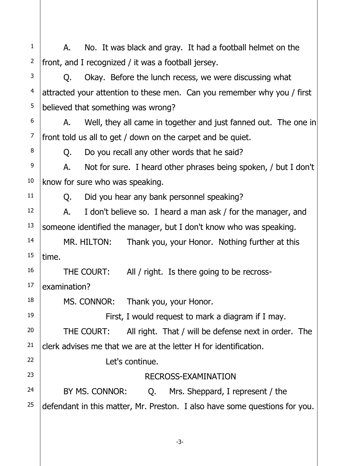1 2 3 4 5 6 7 8 9 10 11 12 13 14 15 16 17 18 19 20 21 22 23 24 25 A. No. It was black and gray. It had a football helmet on the front, and I recognized / it was a football jersey. Q. Okay. Before the lunch recess, we were discussing what attracted your attention to these men. Can you remember why you / first believed that something was wrong? A. Well, they all came in together and just fanned out. The one in front told us all to get / down on the carpet and be quiet. Q. Do you recall any other words that he said? A. Not for sure. I heard other phrases being spoken, / but I don't know for sure who was speaking. Q. Did you hear any bank personnel speaking? A. I don't believe so. I heard a man ask / for the manager, and someone identified the manager, but I don't know who was speaking. MR. HILTON: Thank you, your Honor. Nothing further at this time. THE COURT: All / right. Is there going to be recrossexamination? MS. CONNOR: Thank you, your Honor. First, I would request to mark a diagram if I may. THE COURT: All right. That / will be defense next in order. The clerk advises me that we are at the letter H for identification. Let's continue. RECROSS-EXAMINATION BY MS. CONNOR: Q. Mrs. Sheppard, I represent / the defendant in this matter, Mr. Preston. I also have some questions for you.

-3-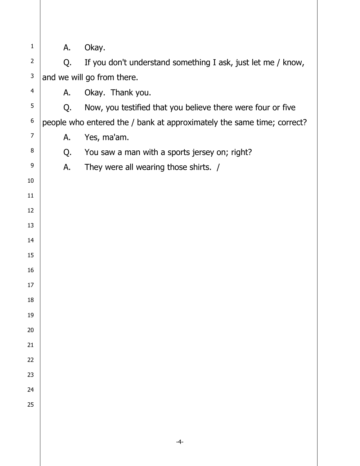| $\mathbf 1$      | А.                         | Okay.                                                                  |  |  |  |
|------------------|----------------------------|------------------------------------------------------------------------|--|--|--|
| $\overline{2}$   | Q.                         | If you don't understand something I ask, just let me / know,           |  |  |  |
| $\mathsf 3$      | and we will go from there. |                                                                        |  |  |  |
| $\overline{4}$   | А.                         | Okay. Thank you.                                                       |  |  |  |
| 5                | Q.                         | Now, you testified that you believe there were four or five            |  |  |  |
| $\boldsymbol{6}$ |                            | people who entered the / bank at approximately the same time; correct? |  |  |  |
| $\overline{7}$   | А.                         | Yes, ma'am.                                                            |  |  |  |
| 8                | Q.                         | You saw a man with a sports jersey on; right?                          |  |  |  |
| 9                | А.                         | They were all wearing those shirts. /                                  |  |  |  |
| 10               |                            |                                                                        |  |  |  |
| 11               |                            |                                                                        |  |  |  |
| 12               |                            |                                                                        |  |  |  |
| 13               |                            |                                                                        |  |  |  |
| 14               |                            |                                                                        |  |  |  |
| 15               |                            |                                                                        |  |  |  |
| 16               |                            |                                                                        |  |  |  |
| 17               |                            |                                                                        |  |  |  |
| 18               |                            |                                                                        |  |  |  |
| 19               |                            |                                                                        |  |  |  |
| 20               |                            |                                                                        |  |  |  |
| 21               |                            |                                                                        |  |  |  |
| 22               |                            |                                                                        |  |  |  |
| 23               |                            |                                                                        |  |  |  |
| 24               |                            |                                                                        |  |  |  |
| 25               |                            |                                                                        |  |  |  |
|                  |                            |                                                                        |  |  |  |
|                  |                            |                                                                        |  |  |  |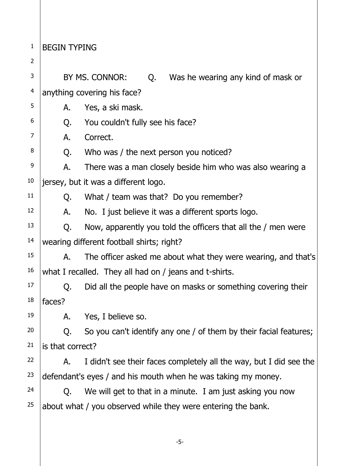1 **BEGIN TYPING** 

| $\overline{2}$ |                                                        |                                                                    |  |
|----------------|--------------------------------------------------------|--------------------------------------------------------------------|--|
| 3              |                                                        | BY MS. CONNOR:<br>Q. Was he wearing any kind of mask or            |  |
| 4              | anything covering his face?                            |                                                                    |  |
| 5              | А.                                                     | Yes, a ski mask.                                                   |  |
| 6              | Q.                                                     | You couldn't fully see his face?                                   |  |
| 7              | А.                                                     | Correct.                                                           |  |
| 8              | Q.                                                     | Who was / the next person you noticed?                             |  |
| 9              | А.                                                     | There was a man closely beside him who was also wearing a          |  |
| 10             |                                                        | jersey, but it was a different logo.                               |  |
| 11             | Q.                                                     | What / team was that? Do you remember?                             |  |
| 12             | А.                                                     | No. I just believe it was a different sports logo.                 |  |
| 13             | Q.                                                     | Now, apparently you told the officers that all the / men were      |  |
| 14             | wearing different football shirts; right?              |                                                                    |  |
| 15             | А.                                                     | The officer asked me about what they were wearing, and that's      |  |
| 16             | what I recalled. They all had on / jeans and t-shirts. |                                                                    |  |
| 17             | Q.                                                     | Did all the people have on masks or something covering their       |  |
| 18             | faces?                                                 |                                                                    |  |
| 19             | Α.                                                     | Yes, I believe so.                                                 |  |
| 20             | Q.                                                     | So you can't identify any one / of them by their facial features;  |  |
| 21             | is that correct?                                       |                                                                    |  |
| 22             | А.                                                     | I didn't see their faces completely all the way, but I did see the |  |
| 23             |                                                        | defendant's eyes / and his mouth when he was taking my money.      |  |
| 24             | Q.                                                     | We will get to that in a minute. I am just asking you now          |  |
| 25             |                                                        | about what / you observed while they were entering the bank.       |  |
|                |                                                        |                                                                    |  |

-5-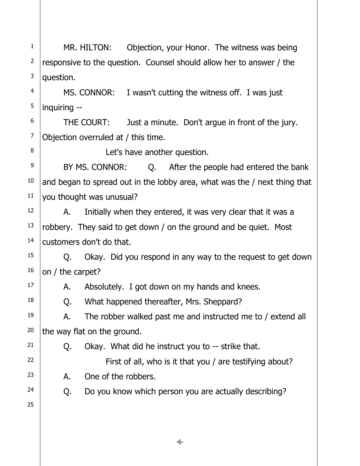1 2 3 4 MR. HILTON: Objection, your Honor. The witness was being responsive to the question. Counsel should allow her to answer / the question. MS. CONNOR: I wasn't cutting the witness off. I was just

6 7 THE COURT: Just a minute. Don't argue in front of the jury. Objection overruled at / this time.

Let's have another question.

9 10 11 BY MS. CONNOR: Q. After the people had entered the bank and began to spread out in the lobby area, what was the / next thing that you thought was unusual?

12 13 14 A. Initially when they entered, it was very clear that it was a robbery. They said to get down / on the ground and be quiet. Most customers don't do that.

15 16 Q. Okay. Did you respond in any way to the request to get down on / the carpet?

A. Absolutely. I got down on my hands and knees.

Q. What happened thereafter, Mrs. Sheppard?

A. The robber walked past me and instructed me to / extend all the way flat on the ground.

Q. Okay. What did he instruct you to -- strike that.

First of all, who is it that you / are testifying about?

A. One of the robbers.

Q. Do you know which person you are actually describing?

24 25

17

18

19

20

21

22

23

5

inquiring --

8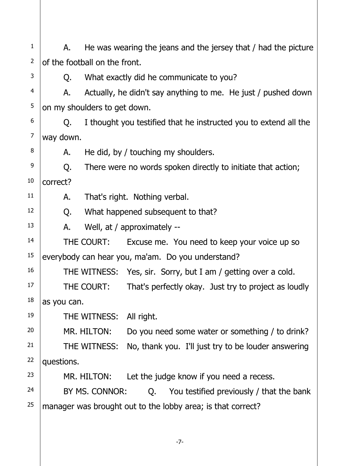| $\mathbf{1}$   | А.                                                          |                                                                  | He was wearing the jeans and the jersey that / had the picture |  |
|----------------|-------------------------------------------------------------|------------------------------------------------------------------|----------------------------------------------------------------|--|
| $\overline{2}$ | of the football on the front.                               |                                                                  |                                                                |  |
| 3              | Q.                                                          | What exactly did he communicate to you?                          |                                                                |  |
| 4              | А.                                                          |                                                                  | Actually, he didn't say anything to me. He just / pushed down  |  |
| 5              |                                                             | on my shoulders to get down.                                     |                                                                |  |
| 6              | Q.                                                          | I thought you testified that he instructed you to extend all the |                                                                |  |
| 7              | way down.                                                   |                                                                  |                                                                |  |
| 8              | А.                                                          |                                                                  | He did, by / touching my shoulders.                            |  |
| 9              | Q.                                                          |                                                                  | There were no words spoken directly to initiate that action;   |  |
| 10             | correct?                                                    |                                                                  |                                                                |  |
| 11             | Α.                                                          |                                                                  | That's right. Nothing verbal.                                  |  |
| 12             | Q.                                                          |                                                                  | What happened subsequent to that?                              |  |
| 13             | А.                                                          |                                                                  | Well, at / approximately --                                    |  |
| 14             |                                                             | THE COURT:                                                       | Excuse me. You need to keep your voice up so                   |  |
| 15             |                                                             |                                                                  | everybody can hear you, ma'am. Do you understand?              |  |
| 16             |                                                             | THE WITNESS:                                                     | Yes, sir. Sorry, but I am / getting over a cold.               |  |
| 17             |                                                             | THE COURT:                                                       | That's perfectly okay. Just try to project as loudly           |  |
| 18             | as you can.                                                 |                                                                  |                                                                |  |
| 19             |                                                             | THE WITNESS:                                                     | All right.                                                     |  |
| 20             |                                                             | MR. HILTON:                                                      | Do you need some water or something / to drink?                |  |
| 21             |                                                             | THE WITNESS:                                                     | No, thank you. I'll just try to be louder answering            |  |
| 22             | questions.                                                  |                                                                  |                                                                |  |
| 23             |                                                             | MR. HILTON:                                                      | Let the judge know if you need a recess.                       |  |
| 24             |                                                             | BY MS. CONNOR:                                                   | You testified previously / that the bank<br>Q.                 |  |
| 25             | manager was brought out to the lobby area; is that correct? |                                                                  |                                                                |  |
|                |                                                             |                                                                  |                                                                |  |

-7-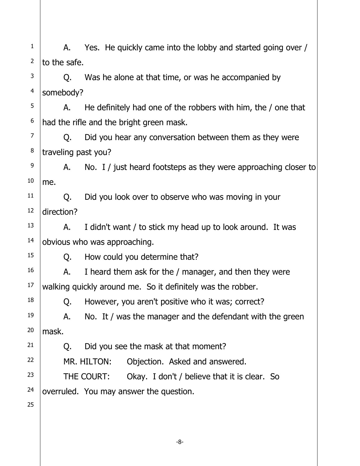1 2 A. Yes. He quickly came into the lobby and started going over / to the safe.

3 4 Q. Was he alone at that time, or was he accompanied by somebody?

5 6 A. He definitely had one of the robbers with him, the / one that had the rifle and the bright green mask.

7 8 Q. Did you hear any conversation between them as they were traveling past you?

9 10 A. No. I / just heard footsteps as they were approaching closer to me.

11 12 Q. Did you look over to observe who was moving in your direction?

13 14 A. I didn't want / to stick my head up to look around. It was obvious who was approaching.

Q. How could you determine that?

16 17 A. I heard them ask for the / manager, and then they were walking quickly around me. So it definitely was the robber.

Q. However, you aren't positive who it was; correct?

19 20 A. No. It / was the manager and the defendant with the green mask.

Q. Did you see the mask at that moment?

MR. HILTON: Objection. Asked and answered.

THE COURT: Okay. I don't / believe that it is clear. So

24 overruled. You may answer the question.

25

15

18

21

22

23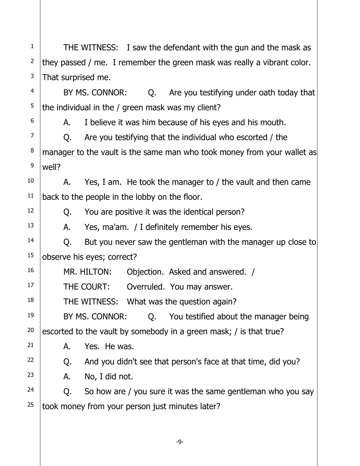| $\mathbf{1}$   | THE WITNESS: I saw the defendant with the gun and the mask as           |                                                                         |  |  |
|----------------|-------------------------------------------------------------------------|-------------------------------------------------------------------------|--|--|
| $\overline{2}$ | they passed / me. I remember the green mask was really a vibrant color. |                                                                         |  |  |
| 3              | That surprised me.                                                      |                                                                         |  |  |
| 4              |                                                                         | Are you testifying under oath today that<br>BY MS. CONNOR:<br>Q.        |  |  |
| 5              |                                                                         | the individual in the / green mask was my client?                       |  |  |
| 6              | А.                                                                      | I believe it was him because of his eyes and his mouth.                 |  |  |
| $\overline{7}$ | O.                                                                      | Are you testifying that the individual who escorted / the               |  |  |
| 8              |                                                                         | manager to the vault is the same man who took money from your wallet as |  |  |
| 9              | well?                                                                   |                                                                         |  |  |
| $10\,$         | А.                                                                      | Yes, I am. He took the manager to / the vault and then came             |  |  |
| 11             |                                                                         | back to the people in the lobby on the floor.                           |  |  |
| 12             | Q.                                                                      | You are positive it was the identical person?                           |  |  |
| 13             | А.                                                                      | Yes, ma'am. / I definitely remember his eyes.                           |  |  |
| 14             | Q.                                                                      | But you never saw the gentleman with the manager up close to            |  |  |
| 15             |                                                                         | observe his eyes; correct?                                              |  |  |
| 16             |                                                                         | Objection. Asked and answered. /<br>MR. HILTON:                         |  |  |
| 17             |                                                                         | THE COURT:<br>Overruled. You may answer.                                |  |  |
| 18             |                                                                         | THE WITNESS: What was the question again?                               |  |  |
| 19             |                                                                         | BY MS. CONNOR:<br>You testified about the manager being<br>Q.           |  |  |
| 20             |                                                                         | escorted to the vault by somebody in a green mask; / is that true?      |  |  |
| 21             | А.                                                                      | Yes. He was.                                                            |  |  |
| 22             | Q.                                                                      | And you didn't see that person's face at that time, did you?            |  |  |
| 23             | А.                                                                      | No, I did not.                                                          |  |  |
| 24             | Q.                                                                      | So how are / you sure it was the same gentleman who you say             |  |  |
| 25             |                                                                         | took money from your person just minutes later?                         |  |  |
|                |                                                                         |                                                                         |  |  |
|                |                                                                         | -9-                                                                     |  |  |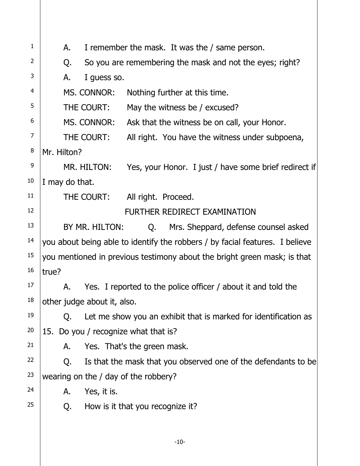| $\mathbf{1}$   | А.                                                                           |                | I remember the mask. It was the / same person.                  |
|----------------|------------------------------------------------------------------------------|----------------|-----------------------------------------------------------------|
| 2              | So you are remembering the mask and not the eyes; right?<br>Q.               |                |                                                                 |
| 3              | Α.                                                                           | I guess so.    |                                                                 |
| 4              |                                                                              | MS. CONNOR:    | Nothing further at this time.                                   |
| 5              |                                                                              | THE COURT:     | May the witness be / excused?                                   |
| 6              |                                                                              | MS. CONNOR:    | Ask that the witness be on call, your Honor.                    |
| $\overline{7}$ |                                                                              | THE COURT:     | All right. You have the witness under subpoena,                 |
| 8              | Mr. Hilton?                                                                  |                |                                                                 |
| 9              |                                                                              | MR. HILTON:    | Yes, your Honor. I just / have some brief redirect if           |
| 10             | I may do that.                                                               |                |                                                                 |
| 11             |                                                                              | THE COURT:     | All right. Proceed.                                             |
| 12             |                                                                              |                | <b>FURTHER REDIRECT EXAMINATION</b>                             |
| 13             |                                                                              | BY MR. HILTON: | Q. Mrs. Sheppard, defense counsel asked                         |
| 14             | you about being able to identify the robbers / by facial features. I believe |                |                                                                 |
| 15             | you mentioned in previous testimony about the bright green mask; is that     |                |                                                                 |
| 16             | true?                                                                        |                |                                                                 |
| 17             | Α.                                                                           |                | Yes. I reported to the police officer / about it and told the   |
| 18             | other judge about it, also.                                                  |                |                                                                 |
| 19             | O.                                                                           |                | Let me show you an exhibit that is marked for identification as |
| 20             | 15. Do you / recognize what that is?                                         |                |                                                                 |
| 21             | А.                                                                           |                | Yes. That's the green mask.                                     |
| 22             | Q.                                                                           |                | Is that the mask that you observed one of the defendants to be  |
| 23             |                                                                              |                | wearing on the / day of the robbery?                            |
| 24             | А.                                                                           | Yes, it is.    |                                                                 |
| 25             | Q.                                                                           |                | How is it that you recognize it?                                |
|                |                                                                              |                |                                                                 |
|                |                                                                              |                |                                                                 |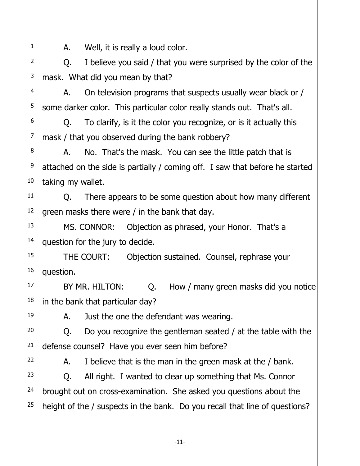A. Well, it is really a loud color. Q. I believe you said / that you were surprised by the color of the mask. What did you mean by that? A. On television programs that suspects usually wear black or / some darker color. This particular color really stands out. That's all. Q. To clarify, is it the color you recognize, or is it actually this mask / that you observed during the bank robbery? A. No. That's the mask. You can see the little patch that is attached on the side is partially / coming off. I saw that before he started taking my wallet. Q. There appears to be some question about how many different green masks there were / in the bank that day. MS. CONNOR: Objection as phrased, your Honor. That's a question for the jury to decide. THE COURT: Objection sustained. Counsel, rephrase your question. BY MR. HILTON: Q. How / many green masks did you notice in the bank that particular day? A. Just the one the defendant was wearing. Q. Do you recognize the gentleman seated / at the table with the defense counsel? Have you ever seen him before?

1

2

3

4

5

6

7

8

9

10

11

12

13

A. I believe that is the man in the green mask at the / bank.

25 Q. All right. I wanted to clear up something that Ms. Connor brought out on cross-examination. She asked you questions about the height of the / suspects in the bank. Do you recall that line of questions?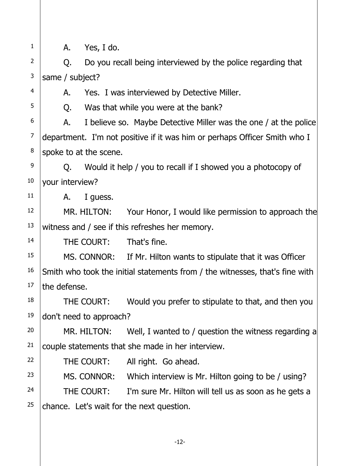| $\mathbf{1}$      | A.                                                                           | Yes, I do.                                                   |                                                                           |  |  |
|-------------------|------------------------------------------------------------------------------|--------------------------------------------------------------|---------------------------------------------------------------------------|--|--|
| $\overline{2}$    | Q.                                                                           |                                                              | Do you recall being interviewed by the police regarding that              |  |  |
| 3                 | same / subject?                                                              |                                                              |                                                                           |  |  |
| 4                 | А.                                                                           |                                                              | Yes. I was interviewed by Detective Miller.                               |  |  |
| 5                 | Was that while you were at the bank?<br>Q.                                   |                                                              |                                                                           |  |  |
| 6                 | А.                                                                           |                                                              | I believe so. Maybe Detective Miller was the one / at the police          |  |  |
| 7                 |                                                                              |                                                              | department. I'm not positive if it was him or perhaps Officer Smith who I |  |  |
| 8                 |                                                                              | spoke to at the scene.                                       |                                                                           |  |  |
| 9                 | O.                                                                           | Would it help / you to recall if I showed you a photocopy of |                                                                           |  |  |
| 10                | your interview?                                                              |                                                              |                                                                           |  |  |
| 11                | А.                                                                           | I guess.                                                     |                                                                           |  |  |
| $12 \overline{ }$ |                                                                              | MR. HILTON:                                                  | Your Honor, I would like permission to approach the                       |  |  |
| 13                | witness and / see if this refreshes her memory.                              |                                                              |                                                                           |  |  |
| 14                |                                                                              |                                                              | THE COURT: That's fine.                                                   |  |  |
| 15                |                                                                              |                                                              | MS. CONNOR: If Mr. Hilton wants to stipulate that it was Officer          |  |  |
| 16                | Smith who took the initial statements from / the witnesses, that's fine with |                                                              |                                                                           |  |  |
| 17                | the defense.                                                                 |                                                              |                                                                           |  |  |
| 18                |                                                                              | THE COURT:                                                   | Would you prefer to stipulate to that, and then you                       |  |  |
| 19                | don't need to approach?                                                      |                                                              |                                                                           |  |  |
| 20                |                                                                              | MR. HILTON:                                                  | Well, I wanted to / question the witness regarding a                      |  |  |
| 21                |                                                                              |                                                              | couple statements that she made in her interview.                         |  |  |
| 22                |                                                                              | THE COURT:                                                   | All right. Go ahead.                                                      |  |  |
| 23                |                                                                              | MS. CONNOR:                                                  | Which interview is Mr. Hilton going to be / using?                        |  |  |
| 24                |                                                                              | THE COURT:                                                   | I'm sure Mr. Hilton will tell us as soon as he gets a                     |  |  |
| 25                |                                                                              |                                                              | chance. Let's wait for the next question.                                 |  |  |
|                   |                                                                              |                                                              |                                                                           |  |  |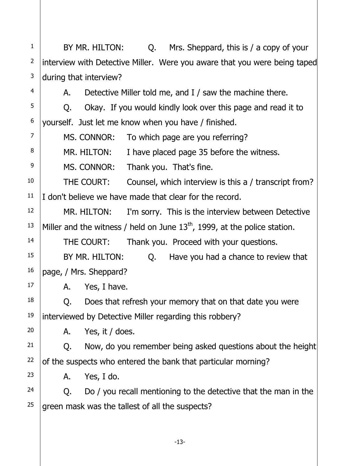1 2 3 4 5 6 7 8 9 10 11 12 13 14 15 16 17 18 19 20 21 22 23 24 25 BY MR. HILTON: Q. Mrs. Sheppard, this is / a copy of your interview with Detective Miller. Were you aware that you were being taped during that interview? A. Detective Miller told me, and I / saw the machine there. Q. Okay. If you would kindly look over this page and read it to yourself. Just let me know when you have / finished. MS. CONNOR: To which page are you referring? MR. HILTON: I have placed page 35 before the witness. MS. CONNOR: Thank you. That's fine. THE COURT: Counsel, which interview is this a / transcript from? I don't believe we have made that clear for the record. MR. HILTON: I'm sorry. This is the interview between Detective Miller and the witness / held on June  $13<sup>th</sup>$ , 1999, at the police station. THE COURT: Thank you. Proceed with your questions. BY MR. HILTON: Q. Have you had a chance to review that page, / Mrs. Sheppard? A. Yes, I have. Q. Does that refresh your memory that on that date you were interviewed by Detective Miller regarding this robbery? A. Yes, it / does. Q. Now, do you remember being asked questions about the height of the suspects who entered the bank that particular morning? A. Yes, I do. Q. Do / you recall mentioning to the detective that the man in the green mask was the tallest of all the suspects?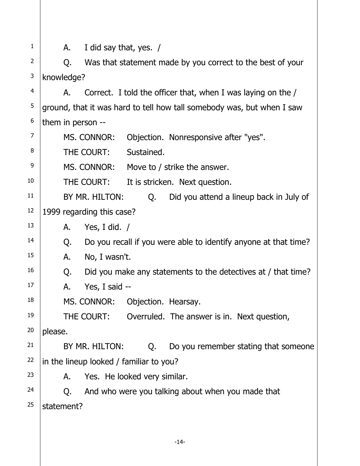1 2 3 4 5 6 7 8 9 10 11 12 13 14 15 16 17 18 19 20 21 22 23 24 25 A. I did say that, yes. / Q. Was that statement made by you correct to the best of your knowledge? A. Correct. I told the officer that, when I was laying on the / ground, that it was hard to tell how tall somebody was, but when I saw them in person -- MS. CONNOR: Objection. Nonresponsive after "yes". THE COURT: Sustained. MS. CONNOR: Move to / strike the answer. THE COURT: It is stricken. Next question. BY MR. HILTON: C. Did you attend a lineup back in July of 1999 regarding this case? A. Yes, I did. / Q. Do you recall if you were able to identify anyone at that time? A. No, I wasn't. Q. Did you make any statements to the detectives at / that time? A. Yes, I said -- MS. CONNOR: Objection. Hearsay. THE COURT: Overruled. The answer is in. Next question, please. BY MR. HILTON: Q. Do you remember stating that someone in the lineup looked / familiar to you? A. Yes. He looked very similar. Q. And who were you talking about when you made that statement?